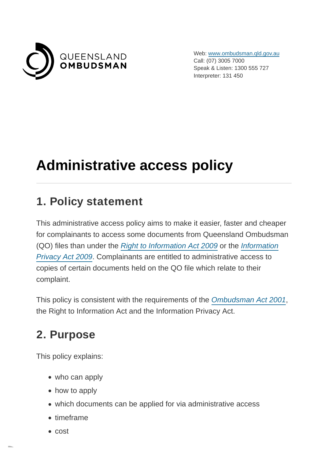

Web: [www.ombudsman.qld.gov.au](https://www.ombudsman.qld.gov.au/) Call: (07) 3005 7000 Speak & Listen: 1300 555 727 Interpreter: 131 450

# **Administrative access policy**

#### **1. Policy statement**

This administrative access policy aims to make it easier, faster and cheaper for complainants to access some documents from Queensland Ombudsman (QO) files than under the [Right to Information Act 2009](https://www.legislation.qld.gov.au/legisltn/current/r/rightinfoa09.pdf) or the [Information](https://www.legislation.qld.gov.au/legisltn/current/i/infopriva09.pdf) Privacy Act 2009. Complainants are entitled to administrative access to copies of certain documents held on the QO file which relate to their complaint.

This policy is consistent with the requirements of the [Ombudsman Act 2001](https://www.legislation.qld.gov.au/LEGISLTN/CURRENT/O/OmbudsA01.pdf), the Right to Information Act and the Information Privacy Act.

#### **2. Purpose**

This policy explains:

- who can apply
- how to apply
- which documents can be applied for via administrative access
- timeframe
- cost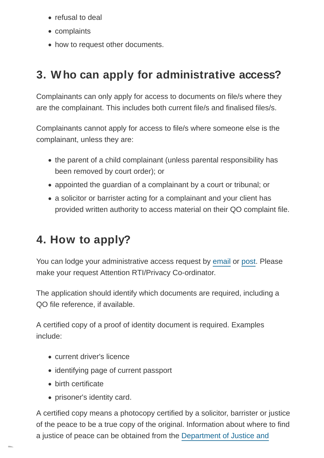- refusal to deal
- complaints
- how to request other documents.

## **3. Who can apply for administrative access?**

Complainants can only apply for access to documents on file/s where they are the complainant. This includes both current file/s and finalised files/s.

Complainants cannot apply for access to file/s where someone else is the complainant, unless they are:

- the parent of a child complainant (unless parental responsibility has been removed by court order); or
- appointed the guardian of a complainant by a court or tribunal; or
- a solicitor or barrister acting for a complainant and your client has provided written authority to access material on their QO complaint file.

## **4. How to apply?**

You can lodge your administrative access request by [email](mailto:RTIandPrivacy@ombudsman.qld.gov.au?subject=Administrative%20access%20application) or [post.](https://www.ombudsman.qld.gov.au/about-us/contact-us/contact-us) Please make your request Attention RTI/Privacy Co-ordinator.

The application should identify which documents are required, including a QO file reference, if available.

A certified copy of a proof of identity document is required. Examples include:

- current driver's licence
- identifying page of current passport
- birth certificate
- prisoner's identity card.

A certified copy means a photocopy certified by a solicitor, barrister or justice of the peace to be a true copy of the original. Information about where to find a justice of peace can be obtained from the [Department of Justice and](https://www.qld.gov.au/law/legal-mediation-and-justice-of-the-peace/about-justice-of-the-peace/search-for-your-nearest-jp-or-cdec/)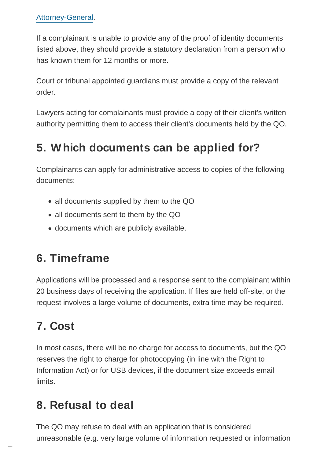#### [Attorney-General.](https://www.qld.gov.au/law/legal-mediation-and-justice-of-the-peace/about-justice-of-the-peace/search-for-your-nearest-jp-or-cdec/)

If a complainant is unable to provide any of the proof of identity documents listed above, they should provide a statutory declaration from a person who has known them for 12 months or more.

Court or tribunal appointed guardians must provide a copy of the relevant order.

Lawyers acting for complainants must provide a copy of their client's written authority permitting them to access their client's documents held by the QO.

## **5. Which documents can be applied for?**

Complainants can apply for administrative access to copies of the following documents:

- all documents supplied by them to the QO
- all documents sent to them by the QO
- documents which are publicly available.

## **6. Timeframe**

Applications will be processed and a response sent to the complainant within 20 business days of receiving the application. If files are held off-site, or the request involves a large volume of documents, extra time may be required.

## **7. Cost**

In most cases, there will be no charge for access to documents, but the QO reserves the right to charge for photocopying (in line with the Right to Information Act) or for USB devices, if the document size exceeds email limits.

#### **8. Refusal to deal**

The QO may refuse to deal with an application that is considered unreasonable (e.g. very large volume of information requested or information